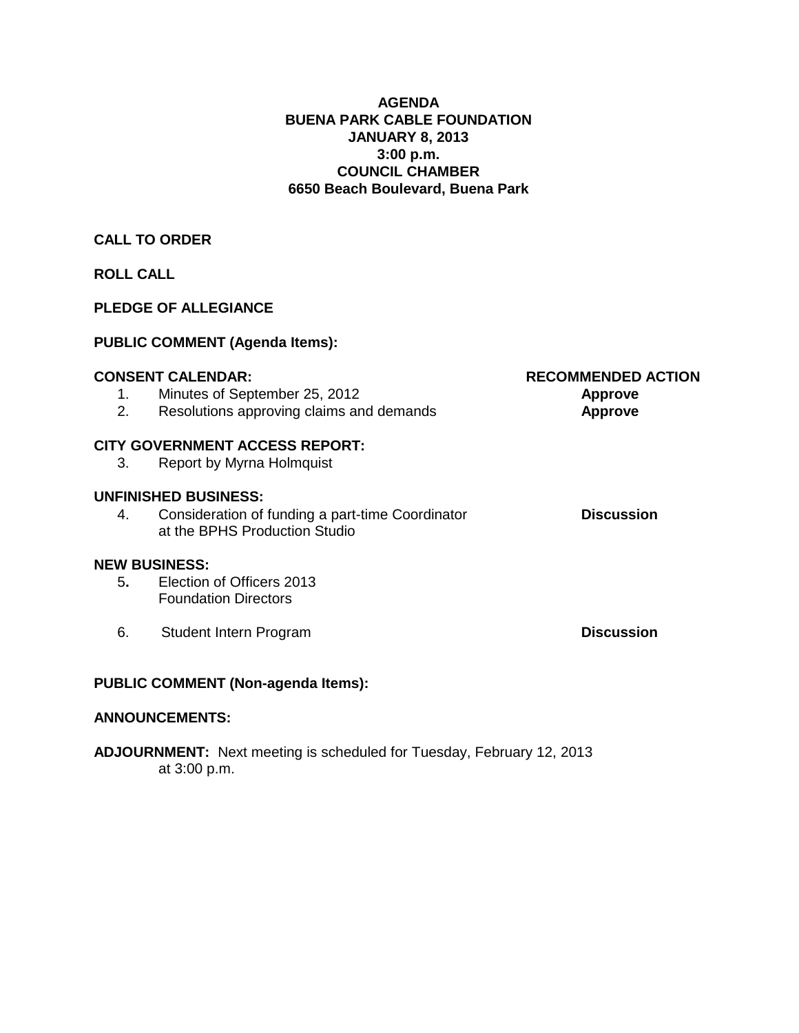#### **AGENDA BUENA PARK CABLE FOUNDATION JANUARY 8, 2013 3:00 p.m. COUNCIL CHAMBER 6650 Beach Boulevard, Buena Park**

#### **CALL TO ORDER**

#### **ROLL CALL**

#### **PLEDGE OF ALLEGIANCE**

#### **PUBLIC COMMENT (Agenda Items):**

|    | <b>CONSENT CALENDAR:</b>                                                          | <b>RECOMMENDED ACTION</b> |  |  |  |  |
|----|-----------------------------------------------------------------------------------|---------------------------|--|--|--|--|
| 1. | Minutes of September 25, 2012                                                     | <b>Approve</b>            |  |  |  |  |
| 2. | Resolutions approving claims and demands                                          | <b>Approve</b>            |  |  |  |  |
|    | <b>CITY GOVERNMENT ACCESS REPORT:</b>                                             |                           |  |  |  |  |
| 3. | Report by Myrna Holmquist                                                         |                           |  |  |  |  |
|    | UNFINISHED BUSINESS:                                                              |                           |  |  |  |  |
| 4. | Consideration of funding a part-time Coordinator<br>at the BPHS Production Studio | <b>Discussion</b>         |  |  |  |  |
|    | <b>NEW BUSINESS:</b>                                                              |                           |  |  |  |  |
| 5. | Election of Officers 2013                                                         |                           |  |  |  |  |
|    | <b>Foundation Directors</b>                                                       |                           |  |  |  |  |
| 6. | Student Intern Program                                                            | <b>Discussion</b>         |  |  |  |  |
|    |                                                                                   |                           |  |  |  |  |
|    | <b>PUBLIC COMMENT (Non-agenda Items):</b>                                         |                           |  |  |  |  |

### **ANNOUNCEMENTS:**

**ADJOURNMENT:** Next meeting is scheduled for Tuesday, February 12, 2013 at 3:00 p.m.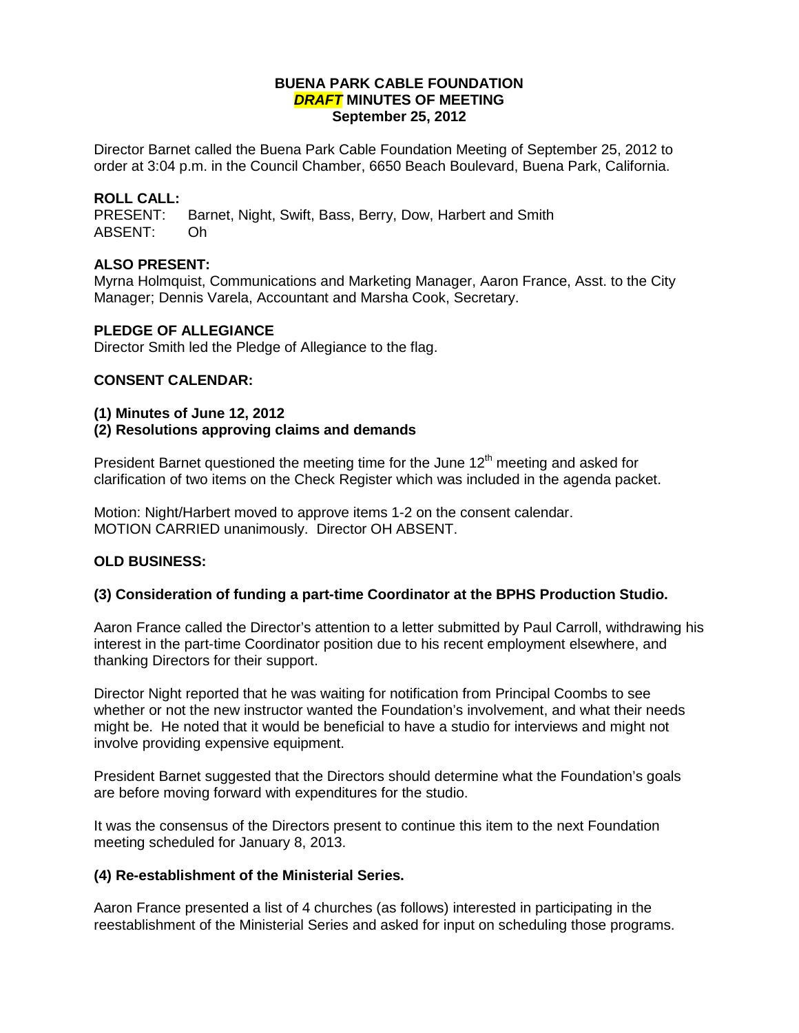#### **BUENA PARK CABLE FOUNDATION** *DRAFT* **MINUTES OF MEETING September 25, 2012**

Director Barnet called the Buena Park Cable Foundation Meeting of September 25, 2012 to order at 3:04 p.m. in the Council Chamber, 6650 Beach Boulevard, Buena Park, California.

# **ROLL CALL:**<br>PRESENT:

Barnet, Night, Swift, Bass, Berry, Dow, Harbert and Smith ABSENT: Oh

#### **ALSO PRESENT:**

Myrna Holmquist, Communications and Marketing Manager, Aaron France, Asst. to the City Manager; Dennis Varela, Accountant and Marsha Cook, Secretary.

#### **PLEDGE OF ALLEGIANCE**

Director Smith led the Pledge of Allegiance to the flag.

#### **CONSENT CALENDAR:**

## **(1) Minutes of June 12, 2012**

**(2) Resolutions approving claims and demands**

President Barnet questioned the meeting time for the June  $12<sup>th</sup>$  meeting and asked for clarification of two items on the Check Register which was included in the agenda packet.

Motion: Night/Harbert moved to approve items 1-2 on the consent calendar. MOTION CARRIED unanimously. Director OH ABSENT.

#### **OLD BUSINESS:**

#### **(3) Consideration of funding a part-time Coordinator at the BPHS Production Studio.**

Aaron France called the Director's attention to a letter submitted by Paul Carroll, withdrawing his interest in the part-time Coordinator position due to his recent employment elsewhere, and thanking Directors for their support.

Director Night reported that he was waiting for notification from Principal Coombs to see whether or not the new instructor wanted the Foundation's involvement, and what their needs might be. He noted that it would be beneficial to have a studio for interviews and might not involve providing expensive equipment.

President Barnet suggested that the Directors should determine what the Foundation's goals are before moving forward with expenditures for the studio.

It was the consensus of the Directors present to continue this item to the next Foundation meeting scheduled for January 8, 2013.

#### **(4) Re-establishment of the Ministerial Series.**

Aaron France presented a list of 4 churches (as follows) interested in participating in the reestablishment of the Ministerial Series and asked for input on scheduling those programs.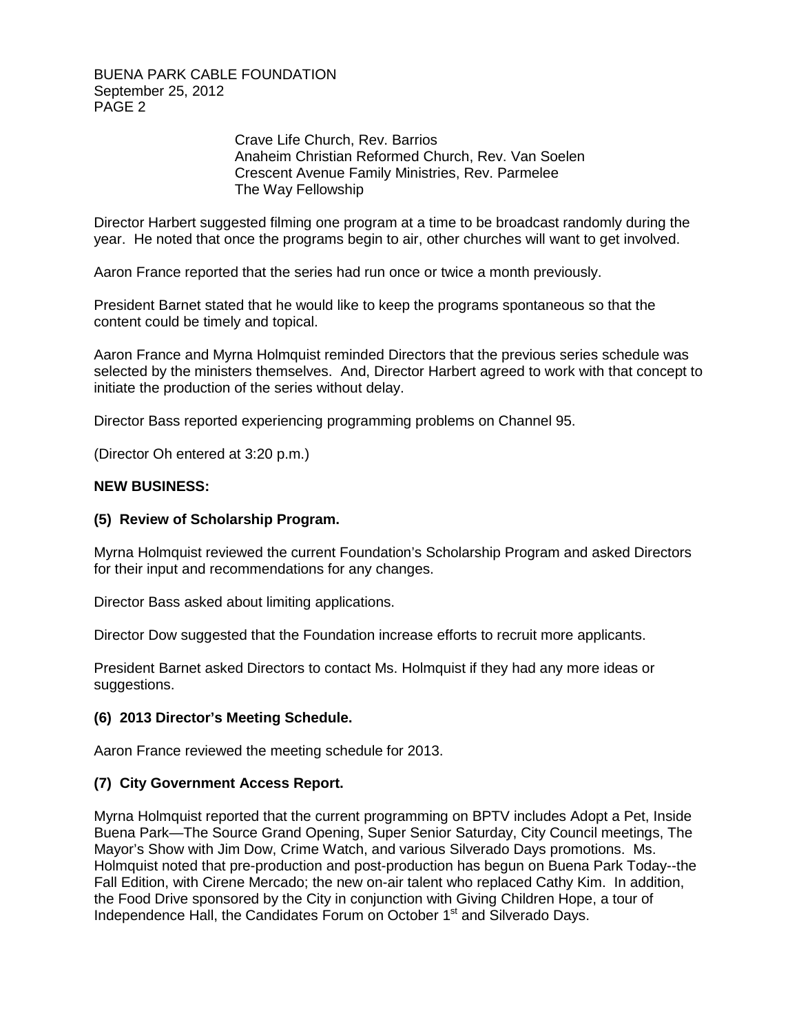BUENA PARK CABLE FOUNDATION September 25, 2012 PAGE 2

> Crave Life Church, Rev. Barrios Anaheim Christian Reformed Church, Rev. Van Soelen Crescent Avenue Family Ministries, Rev. Parmelee The Way Fellowship

Director Harbert suggested filming one program at a time to be broadcast randomly during the year. He noted that once the programs begin to air, other churches will want to get involved.

Aaron France reported that the series had run once or twice a month previously.

President Barnet stated that he would like to keep the programs spontaneous so that the content could be timely and topical.

Aaron France and Myrna Holmquist reminded Directors that the previous series schedule was selected by the ministers themselves. And, Director Harbert agreed to work with that concept to initiate the production of the series without delay.

Director Bass reported experiencing programming problems on Channel 95.

(Director Oh entered at 3:20 p.m.)

#### **NEW BUSINESS:**

#### **(5) Review of Scholarship Program.**

Myrna Holmquist reviewed the current Foundation's Scholarship Program and asked Directors for their input and recommendations for any changes.

Director Bass asked about limiting applications.

Director Dow suggested that the Foundation increase efforts to recruit more applicants.

President Barnet asked Directors to contact Ms. Holmquist if they had any more ideas or suggestions.

#### **(6) 2013 Director's Meeting Schedule.**

Aaron France reviewed the meeting schedule for 2013.

#### **(7) City Government Access Report.**

Myrna Holmquist reported that the current programming on BPTV includes Adopt a Pet, Inside Buena Park—The Source Grand Opening, Super Senior Saturday, City Council meetings, The Mayor's Show with Jim Dow, Crime Watch, and various Silverado Days promotions. Ms. Holmquist noted that pre-production and post-production has begun on Buena Park Today--the Fall Edition, with Cirene Mercado; the new on-air talent who replaced Cathy Kim. In addition, the Food Drive sponsored by the City in conjunction with Giving Children Hope, a tour of Independence Hall, the Candidates Forum on October 1<sup>st</sup> and Silverado Days.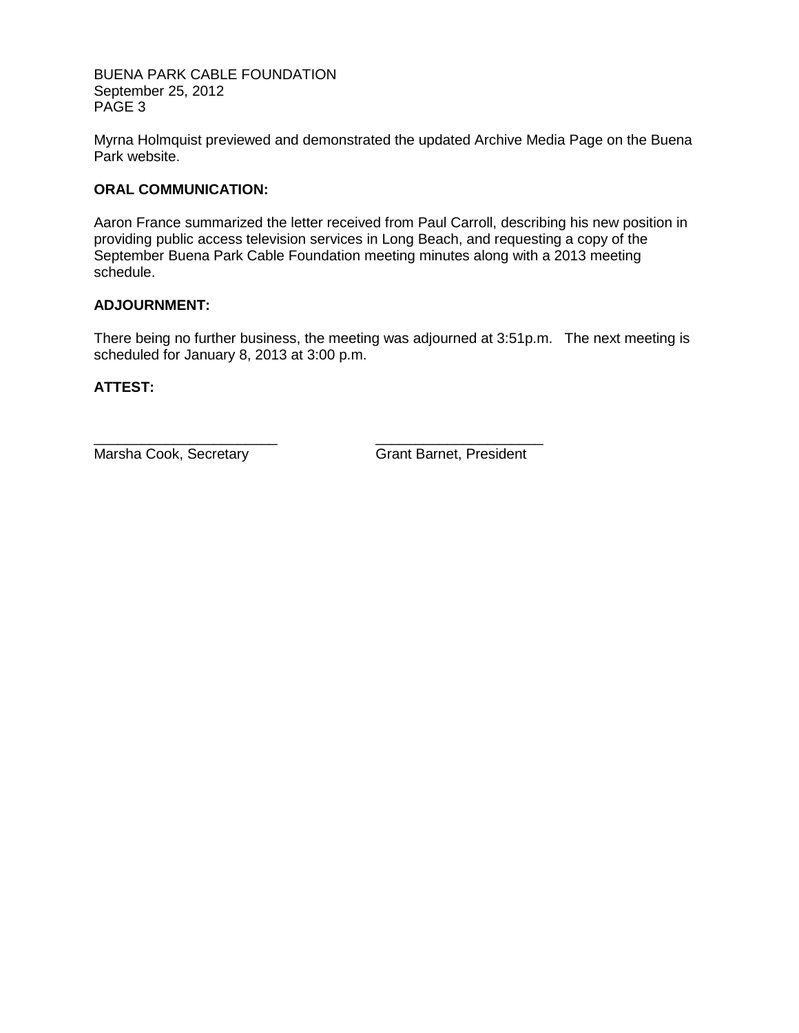BUENA PARK CABLE FOUNDATION September 25, 2012 PAGE 3

Myrna Holmquist previewed and demonstrated the updated Archive Media Page on the Buena Park website.

#### **ORAL COMMUNICATION:**

Aaron France summarized the letter received from Paul Carroll, describing his new position in providing public access television services in Long Beach, and requesting a copy of the September Buena Park Cable Foundation meeting minutes along with a 2013 meeting schedule.

#### **ADJOURNMENT:**

There being no further business, the meeting was adjourned at 3:51p.m. The next meeting is scheduled for January 8, 2013 at 3:00 p.m.

#### **ATTEST:**

\_\_\_\_\_\_\_\_\_\_\_\_\_\_\_\_\_\_\_\_\_\_\_ \_\_\_\_\_\_\_\_\_\_\_\_\_\_\_\_\_\_\_\_\_ Marsha Cook, Secretary Grant Barnet, President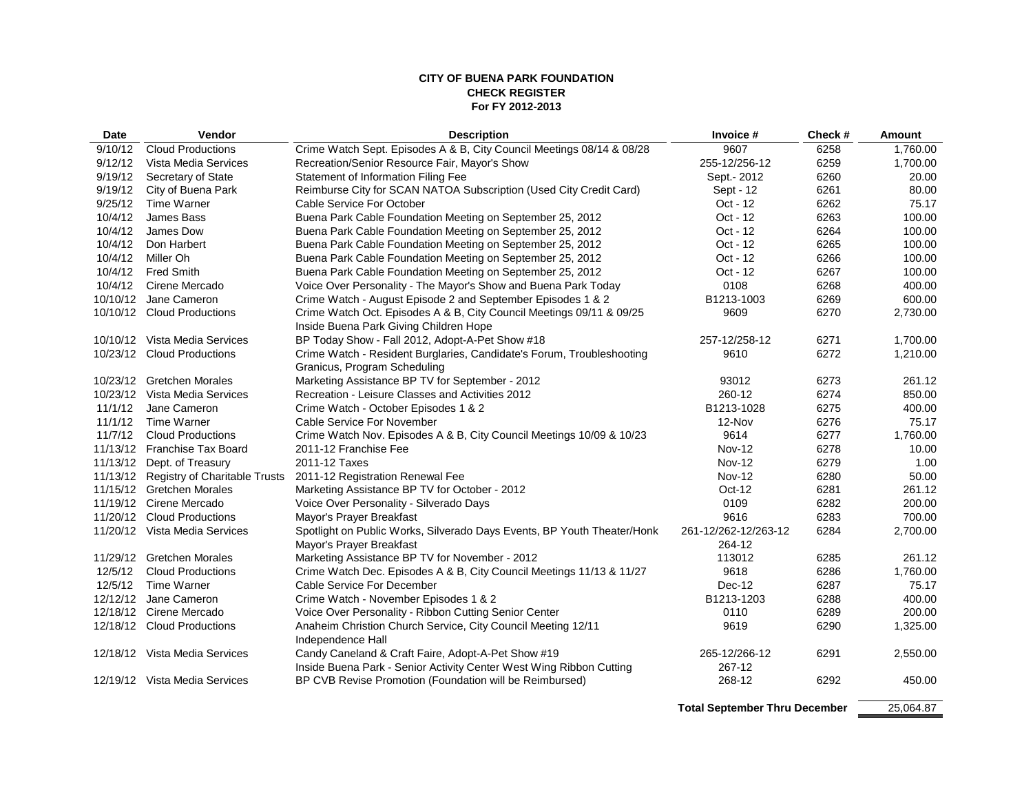#### **CITY OF BUENA PARK FOUNDATION CHECK REGISTER For FY 2012-2013**

| <b>Date</b> | Vendor                                 | <b>Description</b>                                                      | Invoice #            | Check# | <b>Amount</b> |
|-------------|----------------------------------------|-------------------------------------------------------------------------|----------------------|--------|---------------|
| 9/10/12     | <b>Cloud Productions</b>               | Crime Watch Sept. Episodes A & B, City Council Meetings 08/14 & 08/28   | 9607                 | 6258   | 1,760.00      |
| 9/12/12     | Vista Media Services                   | Recreation/Senior Resource Fair, Mayor's Show                           | 255-12/256-12        | 6259   | 1,700.00      |
| 9/19/12     | Secretary of State                     | Statement of Information Filing Fee                                     | Sept.-2012           | 6260   | 20.00         |
| 9/19/12     | City of Buena Park                     | Reimburse City for SCAN NATOA Subscription (Used City Credit Card)      | Sept - 12            | 6261   | 80.00         |
| 9/25/12     | Time Warner                            | Cable Service For October                                               | Oct - 12             | 6262   | 75.17         |
| 10/4/12     | James Bass                             | Buena Park Cable Foundation Meeting on September 25, 2012               | Oct - 12             | 6263   | 100.00        |
| 10/4/12     | James Dow                              | Buena Park Cable Foundation Meeting on September 25, 2012               | Oct - 12             | 6264   | 100.00        |
| 10/4/12     | Don Harbert                            | Buena Park Cable Foundation Meeting on September 25, 2012               | Oct - 12             | 6265   | 100.00        |
| 10/4/12     | Miller Oh                              | Buena Park Cable Foundation Meeting on September 25, 2012               | Oct - 12             | 6266   | 100.00        |
| 10/4/12     | Fred Smith                             | Buena Park Cable Foundation Meeting on September 25, 2012               | Oct - 12             | 6267   | 100.00        |
| 10/4/12     | Cirene Mercado                         | Voice Over Personality - The Mayor's Show and Buena Park Today          | 0108                 | 6268   | 400.00        |
|             | 10/10/12 Jane Cameron                  | Crime Watch - August Episode 2 and September Episodes 1 & 2             | B1213-1003           | 6269   | 600.00        |
|             | 10/10/12 Cloud Productions             | Crime Watch Oct. Episodes A & B, City Council Meetings 09/11 & 09/25    | 9609                 | 6270   | 2,730.00      |
|             |                                        | Inside Buena Park Giving Children Hope                                  |                      |        |               |
|             | 10/10/12 Vista Media Services          | BP Today Show - Fall 2012, Adopt-A-Pet Show #18                         | 257-12/258-12        | 6271   | 1,700.00      |
|             | 10/23/12 Cloud Productions             | Crime Watch - Resident Burglaries, Candidate's Forum, Troubleshooting   | 9610                 | 6272   | 1,210.00      |
|             |                                        | Granicus, Program Scheduling                                            |                      |        |               |
|             | 10/23/12 Gretchen Morales              | Marketing Assistance BP TV for September - 2012                         | 93012                | 6273   | 261.12        |
|             | 10/23/12 Vista Media Services          | Recreation - Leisure Classes and Activities 2012                        | 260-12               | 6274   | 850.00        |
| 11/1/12     | Jane Cameron                           | Crime Watch - October Episodes 1 & 2                                    | B1213-1028           | 6275   | 400.00        |
| 11/1/12     | Time Warner                            | Cable Service For November                                              | 12-Nov               | 6276   | 75.17         |
| 11/7/12     | <b>Cloud Productions</b>               | Crime Watch Nov. Episodes A & B, City Council Meetings 10/09 & 10/23    | 9614                 | 6277   | 1,760.00      |
|             | 11/13/12 Franchise Tax Board           | 2011-12 Franchise Fee                                                   | <b>Nov-12</b>        | 6278   | 10.00         |
|             | 11/13/12 Dept. of Treasury             | 2011-12 Taxes                                                           | <b>Nov-12</b>        | 6279   | 1.00          |
|             | 11/13/12 Registry of Charitable Trusts | 2011-12 Registration Renewal Fee                                        | <b>Nov-12</b>        | 6280   | 50.00         |
|             | 11/15/12 Gretchen Morales              | Marketing Assistance BP TV for October - 2012                           | Oct-12               | 6281   | 261.12        |
|             | 11/19/12 Cirene Mercado                | Voice Over Personality - Silverado Days                                 | 0109                 | 6282   | 200.00        |
|             | 11/20/12 Cloud Productions             | Mayor's Prayer Breakfast                                                | 9616                 | 6283   | 700.00        |
|             | 11/20/12 Vista Media Services          | Spotlight on Public Works, Silverado Days Events, BP Youth Theater/Honk | 261-12/262-12/263-12 | 6284   | 2,700.00      |
|             |                                        | Mayor's Prayer Breakfast                                                | 264-12               |        |               |
| 11/29/12    | <b>Gretchen Morales</b>                | Marketing Assistance BP TV for November - 2012                          | 113012               | 6285   | 261.12        |
| 12/5/12     | <b>Cloud Productions</b>               | Crime Watch Dec. Episodes A & B, City Council Meetings 11/13 & 11/27    | 9618                 | 6286   | 1,760.00      |
| 12/5/12     | Time Warner                            | Cable Service For December                                              | Dec-12               | 6287   | 75.17         |
|             | 12/12/12 Jane Cameron                  | Crime Watch - November Episodes 1 & 2                                   | B1213-1203           | 6288   | 400.00        |
|             | 12/18/12 Cirene Mercado                | Voice Over Personality - Ribbon Cutting Senior Center                   | 0110                 | 6289   | 200.00        |
|             | 12/18/12 Cloud Productions             | Anaheim Christion Church Service, City Council Meeting 12/11            | 9619                 | 6290   | 1,325.00      |
|             |                                        | Independence Hall                                                       |                      |        |               |
|             | 12/18/12 Vista Media Services          | Candy Caneland & Craft Faire, Adopt-A-Pet Show #19                      | 265-12/266-12        | 6291   | 2,550.00      |
|             |                                        | Inside Buena Park - Senior Activity Center West Wing Ribbon Cutting     | 267-12               |        |               |
|             | 12/19/12 Vista Media Services          | BP CVB Revise Promotion (Foundation will be Reimbursed)                 | 268-12               | 6292   | 450.00        |
|             |                                        |                                                                         |                      |        |               |

**Total September Thru December**

25,064.87